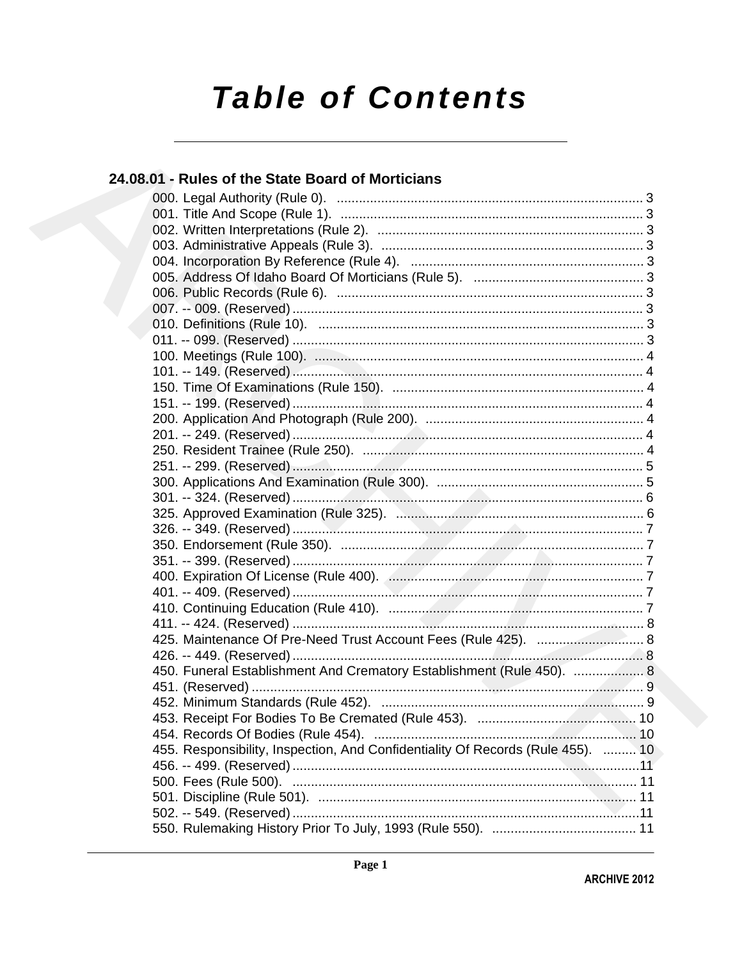# **Table of Contents**

# 24.08.01 - Rules of the State Board of Morticians 450. Funeral Establishment And Crematory Establishment (Rule 450). ................... 8 455. Responsibility, Inspection, And Confidentiality Of Records (Rule 455). ......... 10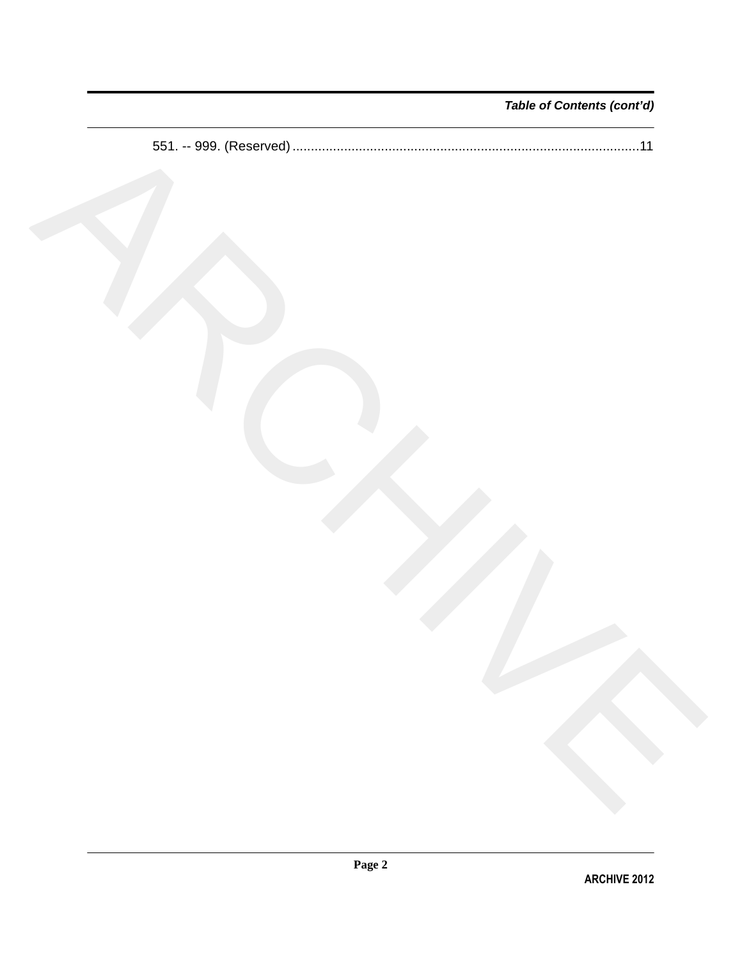# *Table of Contents (cont'd)*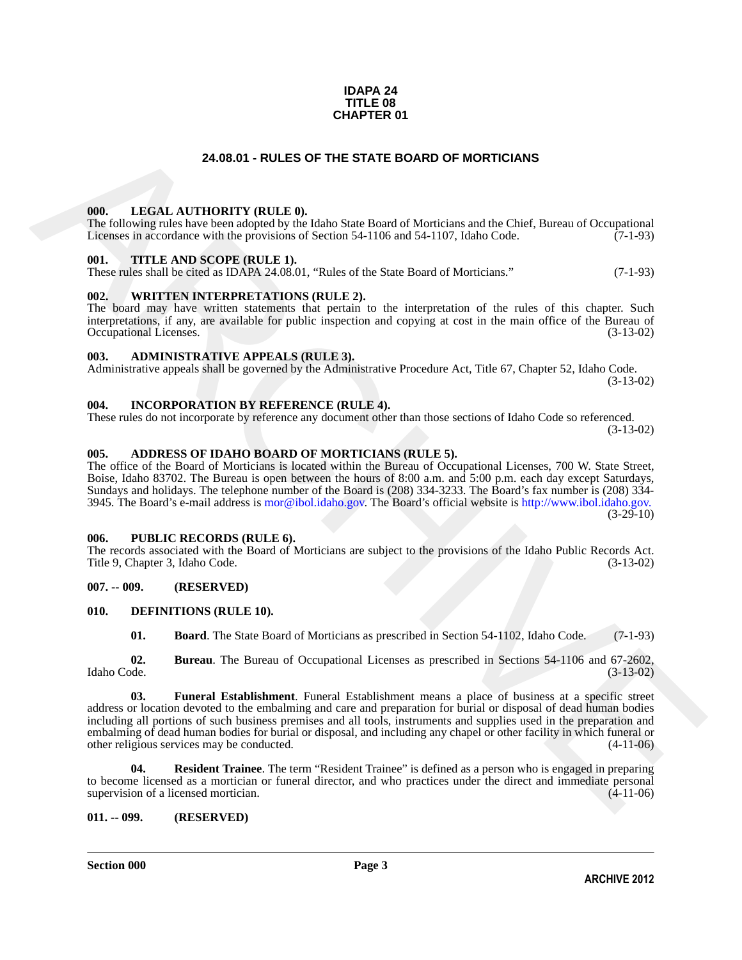#### **IDAPA 24 TITLE 08 CHAPTER 01**

# **24.08.01 - RULES OF THE STATE BOARD OF MORTICIANS**

#### <span id="page-2-1"></span><span id="page-2-0"></span>**000. LEGAL AUTHORITY (RULE 0).**

The following rules have been adopted by the Idaho State Board of Morticians and the Chief, Bureau of Occupational Licenses in accordance with the provisions of Section 54-1106 and 54-1107, Idaho Code. (7-1-93)

#### <span id="page-2-2"></span>**001. TITLE AND SCOPE (RULE 1).**

These rules shall be cited as IDAPA 24.08.01, "Rules of the State Board of Morticians." (7-1-93)

#### <span id="page-2-3"></span>**002. WRITTEN INTERPRETATIONS (RULE 2).**

The board may have written statements that pertain to the interpretation of the rules of this chapter. Such interpretations, if any, are available for public inspection and copying at cost in the main office of the Bureau of Occupational Licenses. (3-13-02) Occupational Licenses.

# <span id="page-2-4"></span>**003. ADMINISTRATIVE APPEALS (RULE 3).**

Administrative appeals shall be governed by the Administrative Procedure Act, Title 67, Chapter 52, Idaho Code. (3-13-02)

### <span id="page-2-5"></span>**004. INCORPORATION BY REFERENCE (RULE 4).**

These rules do not incorporate by reference any document other than those sections of Idaho Code so referenced. (3-13-02)

# <span id="page-2-6"></span>**005. ADDRESS OF IDAHO BOARD OF MORTICIANS (RULE 5).**

The office of the Board of Morticians is located within the Bureau of Occupational Licenses, 700 W. State Street, Boise, Idaho 83702. The Bureau is open between the hours of 8:00 a.m. and 5:00 p.m. each day except Saturdays, Sundays and holidays. The telephone number of the Board is (208) 334-3233. The Board's fax number is (208) 334- 3945. The Board's e-mail address is mor@ibol.idaho.gov. The Board's official website is http://www.ibol.idaho.gov. (3-29-10)

### <span id="page-2-7"></span>**006. PUBLIC RECORDS (RULE 6).**

The records associated with the Board of Morticians are subject to the provisions of the Idaho Public Records Act.<br>Title 9, Chapter 3, Idaho Code. (3-13-02) Title 9, Chapter 3, Idaho Code.

# <span id="page-2-8"></span>**007. -- 009. (RESERVED)**

#### <span id="page-2-9"></span>**010. DEFINITIONS (RULE 10).**

<span id="page-2-14"></span><span id="page-2-13"></span><span id="page-2-12"></span><span id="page-2-11"></span>**01. Board**. The State Board of Morticians as prescribed in Section 54-1102, Idaho Code. (7-1-93)

**02.** Bureau. The Bureau of Occupational Licenses as prescribed in Sections 54-1106 and 67-2602, Idaho Code. (3-13-02) Idaho Code. (3-13-02)

**24.08.01 - RULES OF THE STATE BOARD OF MORTICIANS<br>
1001.** IEGAL AITHYORTY (RITLE 0).<br>
The intermediate term is been been there in the state for the control of the control of the filter state of the state of the state of **03. Funeral Establishment**. Funeral Establishment means a place of business at a specific street address or location devoted to the embalming and care and preparation for burial or disposal of dead human bodies including all portions of such business premises and all tools, instruments and supplies used in the preparation and embalming of dead human bodies for burial or disposal, and including any chapel or other facility in which funeral or other religious services may be conducted. (4-11-06) other religious services may be conducted.

<span id="page-2-15"></span>**04. Resident Trainee**. The term "Resident Trainee" is defined as a person who is engaged in preparing to become licensed as a mortician or funeral director, and who practices under the direct and immediate personal supervision of a licensed mortician. (4-11-06) supervision of a licensed mortician.

### <span id="page-2-10"></span>**011. -- 099. (RESERVED)**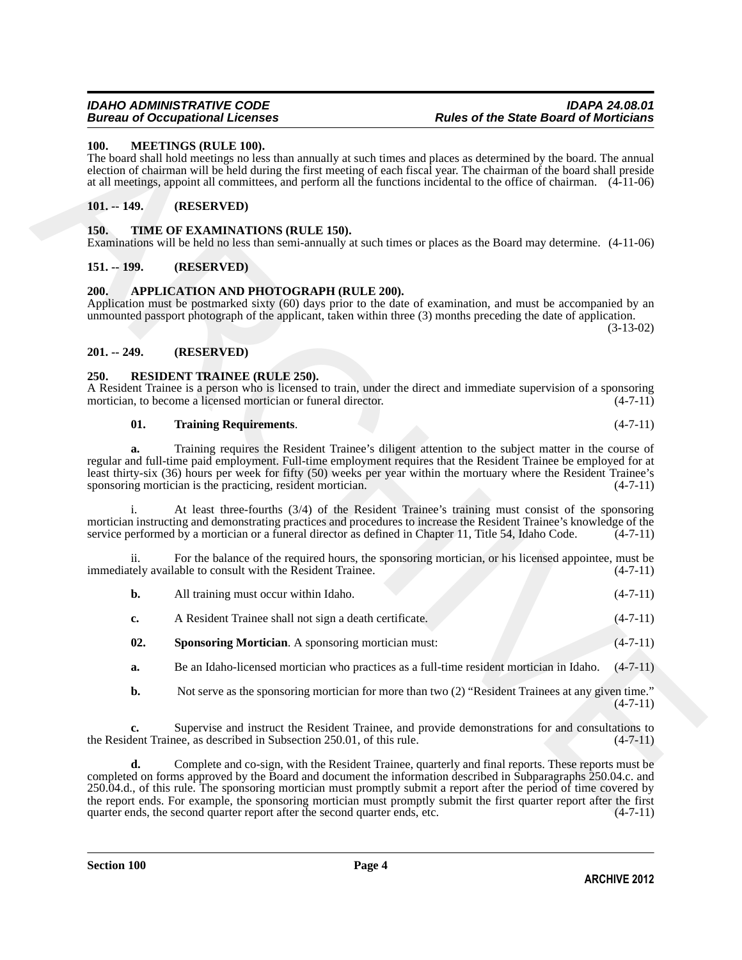### <span id="page-3-8"></span><span id="page-3-0"></span>**100. MEETINGS (RULE 100).**

The board shall hold meetings no less than annually at such times and places as determined by the board. The annual election of chairman will be held during the first meeting of each fiscal year. The chairman of the board shall preside at all meetings, appoint all committees, and perform all the functions incidental to the office of chairman. (4-11-06)

# <span id="page-3-1"></span>**101. -- 149. (RESERVED)**

# <span id="page-3-12"></span><span id="page-3-2"></span>**150. TIME OF EXAMINATIONS (RULE 150).**

Examinations will be held no less than semi-annually at such times or places as the Board may determine. (4-11-06)

# <span id="page-3-3"></span>**151. -- 199. (RESERVED)**

# <span id="page-3-7"></span><span id="page-3-4"></span>**200. APPLICATION AND PHOTOGRAPH (RULE 200).**

Application must be postmarked sixty (60) days prior to the date of examination, and must be accompanied by an unmounted passport photograph of the applicant, taken within three (3) months preceding the date of application.

(3-13-02)

### <span id="page-3-5"></span>**201. -- 249. (RESERVED)**

# <span id="page-3-9"></span><span id="page-3-6"></span>**250. RESIDENT TRAINEE (RULE 250).**

A Resident Trainee is a person who is licensed to train, under the direct and immediate supervision of a sponsoring mortician, to become a licensed mortician or funeral director. (4-7-11) mortician, to become a licensed mortician or funeral director.

#### <span id="page-3-11"></span>**01. Training Requirements**. (4-7-11)

**a.** Training requires the Resident Trainee's diligent attention to the subject matter in the course of regular and full-time paid employment. Full-time employment requires that the Resident Trainee be employed for at least thirty-six (36) hours per week for fifty (50) weeks per year within the mortuary where the Resident Trainee's sponsoring mortician is the practicing, resident mortician.

At least three-fourths (3/4) of the Resident Trainee's training must consist of the sponsoring mortician instructing and demonstrating practices and procedures to increase the Resident Trainee's knowledge of the service performed by a mortician or a funeral director as defined in Chapter 11, Title 54, Idaho Code.  $(4-7-11)$ 

ii. For the balance of the required hours, the sponsoring mortician, or his licensed appointee, must be tely available to consult with the Resident Trainee. (4-7-11) immediately available to consult with the Resident Trainee.

| b.  | All training must occur within Idaho.                     | $(4-7-11)$ |
|-----|-----------------------------------------------------------|------------|
| c.  | A Resident Trainee shall not sign a death certificate.    | $(4-7-11)$ |
| 02. | <b>Sponsoring Mortician.</b> A sponsoring mortician must: | $(4-7-11)$ |

- <span id="page-3-10"></span>**a.** Be an Idaho-licensed mortician who practices as a full-time resident mortician in Idaho.  $(4-7-11)$
- **b.** Not serve as the sponsoring mortician for more than two (2) "Resident Trainees at any given time."  $(4 - 7 - 11)$

**c.** Supervise and instruct the Resident Trainee, and provide demonstrations for and consultations to dent Trainee, as described in Subsection 250.01, of this rule.  $(4-7-11)$ the Resident Trainee, as described in Subsection 250.01, of this rule.

10a. **ATERTIVES (RETT. 160**). **ARCHITEE (RET. 160**). **ARCHITEE IS (160**). The basic of the continent of children with level-basic and the state of the state of the state of the state of the state of the state of the state **d.** Complete and co-sign, with the Resident Trainee, quarterly and final reports. These reports must be completed on forms approved by the Board and document the information described in Subparagraphs 250.04.c. and 250.04.d., of this rule. The sponsoring mortician must promptly submit a report after the period of time covered by the report ends. For example, the sponsoring mortician must promptly submit the first quarter report after the first quarter ends, the second quarter report after the second quarter ends, etc. (4-7-11) quarter ends, the second quarter report after the second quarter ends, etc.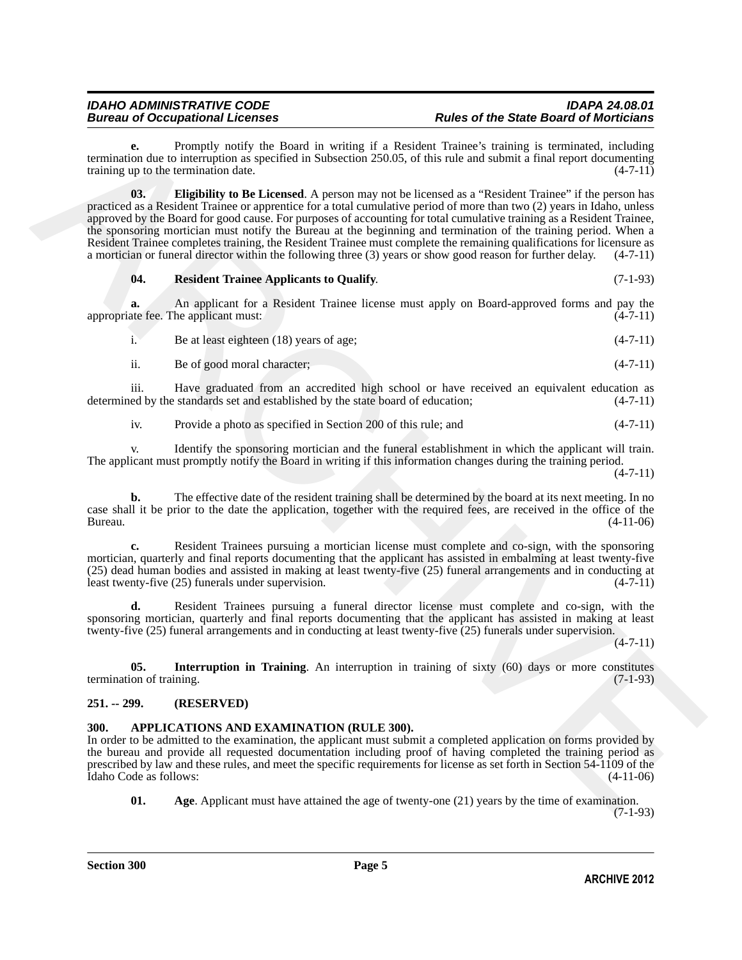<span id="page-4-4"></span>Promptly notify the Board in writing if a Resident Trainee's training is terminated, including termination due to interruption as specified in Subsection 250.05, of this rule and submit a final report documenting training up to the termination date.  $(4-7-11)$ training up to the termination date.

termination due to interminiten a Resident Tarinopi of Resident Tarinoci in Tarinoci interministic interministic interministic interministic interministic interministic interministic interministic interministic interminis **03. Eligibility to Be Licensed**. A person may not be licensed as a "Resident Trainee" if the person has practiced as a Resident Trainee or apprentice for a total cumulative period of more than two (2) years in Idaho, unless approved by the Board for good cause. For purposes of accounting for total cumulative training as a Resident Trainee, the sponsoring mortician must notify the Bureau at the beginning and termination of the training period. When a Resident Trainee completes training, the Resident Trainee must complete the remaining qualifications for licensure as a mortician or funeral director within the following three (3) years or show good reason for further delay. (4-7-11)

# <span id="page-4-6"></span>**04. Resident Trainee Applicants to Qualify**. (7-1-93)

**a.** An applicant for a Resident Trainee license must apply on Board-approved forms and pay the appropriate fee. The applicant must:  $(4-7-11)$ 

i. Be at least eighteen  $(18)$  years of age;  $(4-7-11)$ 

ii. Be of good moral character; (4-7-11)

iii. Have graduated from an accredited high school or have received an equivalent education as ed by the standards set and established by the state board of education; (4-7-11) determined by the standards set and established by the state board of education;

iv. Provide a photo as specified in Section 200 of this rule; and (4-7-11)

v. Identify the sponsoring mortician and the funeral establishment in which the applicant will train. The applicant must promptly notify the Board in writing if this information changes during the training period.

 $(4 - 7 - 11)$ 

**b.** The effective date of the resident training shall be determined by the board at its next meeting. In no case shall it be prior to the date the application, together with the required fees, are received in the office of the Bureau. (4-11-06)

**c.** Resident Trainees pursuing a mortician license must complete and co-sign, with the sponsoring mortician, quarterly and final reports documenting that the applicant has assisted in embalming at least twenty-five (25) dead human bodies and assisted in making at least twenty-five (25) funeral arrangements and in conducting at least twenty-five (25) funerals under supervision. (4-7-11)

**d.** Resident Trainees pursuing a funeral director license must complete and co-sign, with the sponsoring mortician, quarterly and final reports documenting that the applicant has assisted in making at least twenty-five (25) funeral arrangements and in conducting at least twenty-five (25) funerals under supervision.

 $(4 - 7 - 11)$ 

<span id="page-4-5"></span>**05. Interruption in Training**. An interruption in training of sixty (60) days or more constitutes (7-1-93) termination of training.

# <span id="page-4-0"></span>**251. -- 299. (RESERVED)**

# <span id="page-4-2"></span><span id="page-4-1"></span>**300. APPLICATIONS AND EXAMINATION (RULE 300).**

In order to be admitted to the examination, the applicant must submit a completed application on forms provided by the bureau and provide all requested documentation including proof of having completed the training period as prescribed by law and these rules, and meet the specific requirements for license as set forth in Section 54-1109 of the Idaho Code as follows: (4-11-06) Idaho Code as follows:

<span id="page-4-3"></span>**01.** Age. Applicant must have attained the age of twenty-one (21) years by the time of examination. (7-1-93)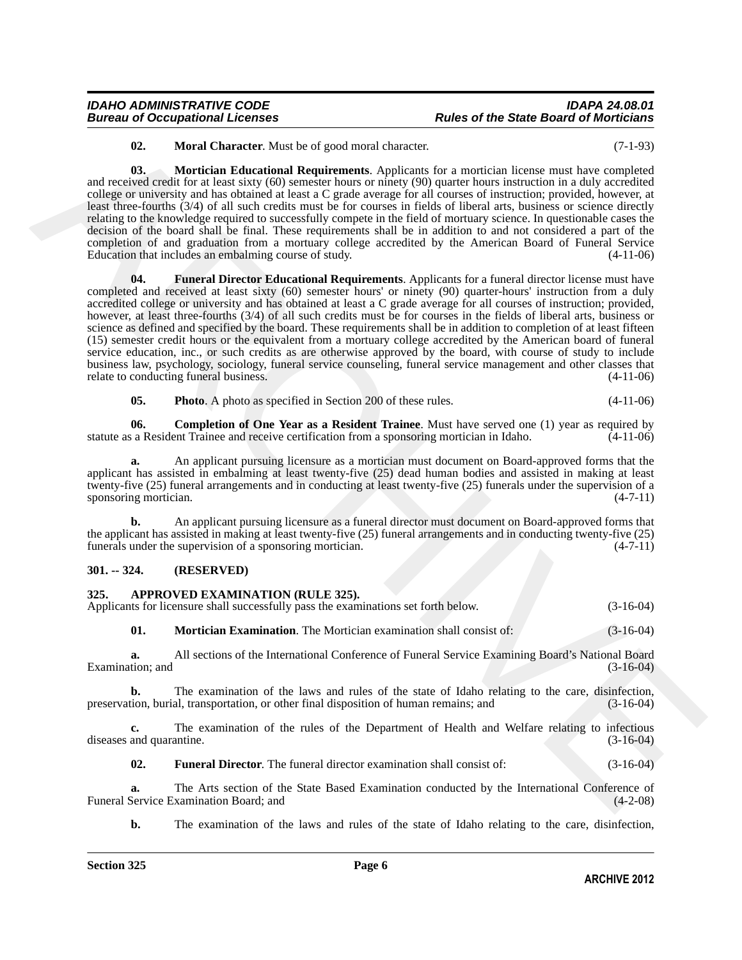# *IDAHO ADMINISTRATIVE CODE IDAPA 24.08.01* **Rules of the State Board of Morticians**

<span id="page-5-5"></span><span id="page-5-4"></span>**02. Moral Character**. Must be of good moral character. (7-1-93)

<span id="page-5-3"></span>**03. Mortician Educational Requirements**. Applicants for a mortician license must have completed and received credit for at least sixty (60) semester hours or ninety (90) quarter hours instruction in a duly accredited college or university and has obtained at least a C grade average for all courses of instruction; provided, however, at least three-fourths (3/4) of all such credits must be for courses in fields of liberal arts, business or science directly relating to the knowledge required to successfully compete in the field of mortuary science. In questionable cases the decision of the board shall be final. These requirements shall be in addition to and not considered a part of the completion of and graduation from a mortuary college accredited by the American Board of Funeral Service Education that includes an embalming course of study. (4-11-06)

62. More Characterize these of processors control characterizes control in the second control control in the second of the control of the second of the second of the second of the second of the second of the second of the **04. Funeral Director Educational Requirements**. Applicants for a funeral director license must have completed and received at least sixty (60) semester hours' or ninety (90) quarter-hours' instruction from a duly accredited college or university and has obtained at least a C grade average for all courses of instruction; provided, however, at least three-fourths (3/4) of all such credits must be for courses in the fields of liberal arts, business or science as defined and specified by the board. These requirements shall be in addition to completion of at least fifteen (15) semester credit hours or the equivalent from a mortuary college accredited by the American board of funeral service education, inc., or such credits as are otherwise approved by the board, with course of study to include business law, psychology, sociology, funeral service counseling, funeral service management and other classes that relate to conducting funeral business.

<span id="page-5-6"></span><span id="page-5-2"></span>**05. Photo**. A photo as specified in Section 200 of these rules. (4-11-06)

**06. Completion of One Year as a Resident Trainee**. Must have served one (1) year as required by statute as a Resident Trainee and receive certification from a sponsoring mortician in Idaho. (4-11-06)

**a.** An applicant pursuing licensure as a mortician must document on Board-approved forms that the applicant has assisted in embalming at least twenty-five (25) dead human bodies and assisted in making at least twenty-five (25) funeral arrangements and in conducting at least twenty-five (25) funerals under the supervision of a sponsoring mortician. (4-7-11) sponsoring mortician.

**b.** An applicant pursuing licensure as a funeral director must document on Board-approved forms that the applicant has assisted in making at least twenty-five (25) funeral arrangements and in conducting twenty-five (25) funerals under the supervision of a sponsoring mortician. (4-7-11)

# <span id="page-5-0"></span>**301. -- 324. (RESERVED)**

# <span id="page-5-7"></span><span id="page-5-1"></span>**325. APPROVED EXAMINATION (RULE 325).**

| Applicants for licensure shall successfully pass the examinations set forth below. |  | $(3-16-04)$ |
|------------------------------------------------------------------------------------|--|-------------|
|                                                                                    |  |             |

<span id="page-5-9"></span>**01. Mortician Examination**. The Mortician examination shall consist of: (3-16-04)

**a.** All sections of the International Conference of Funeral Service Examining Board's National Board (3-16-04) Examination; and

**b.** The examination of the laws and rules of the state of Idaho relating to the care, disinfection, tion, burial, transportation, or other final disposition of human remains; and (3-16-04) preservation, burial, transportation, or other final disposition of human remains; and (3-16-04)

**c.** The examination of the rules of the Department of Health and Welfare relating to infectious and quarantine. (3-16-04) diseases and quarantine.

<span id="page-5-8"></span>**02. Funeral Director**. The funeral director examination shall consist of: (3-16-04)

**a.** The Arts section of the State Based Examination conducted by the International Conference of Service Examination Board; and (4-2-08) Funeral Service Examination Board; and

**b.** The examination of the laws and rules of the state of Idaho relating to the care, disinfection,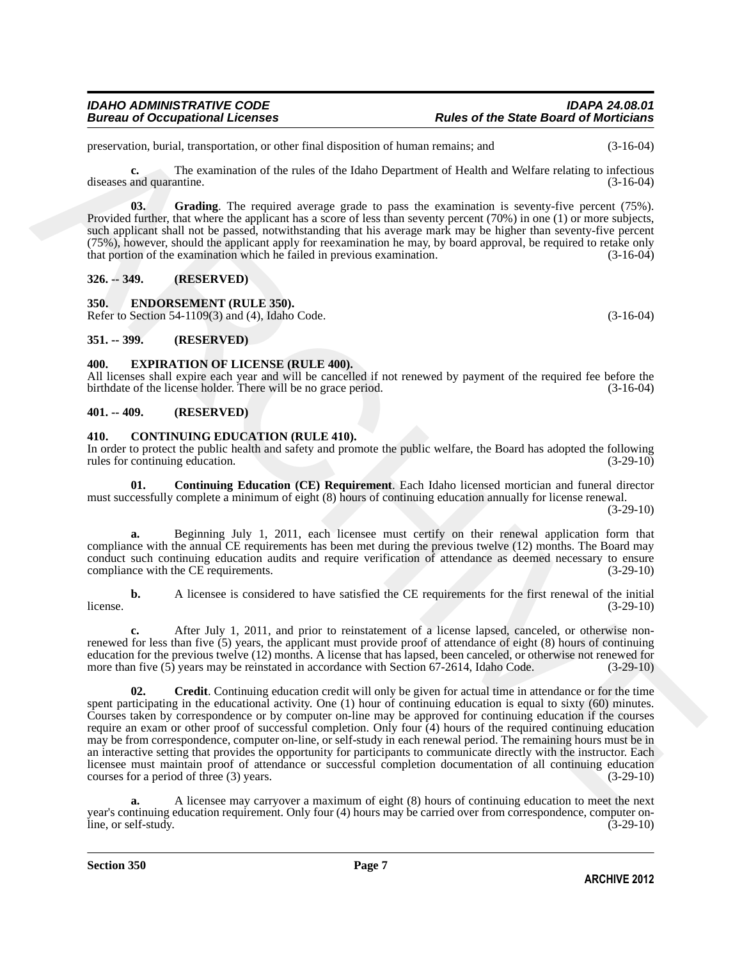preservation, burial, transportation, or other final disposition of human remains; and (3-16-04)

**c.** The examination of the rules of the Idaho Department of Health and Welfare relating to infectious diseases and quarantine. (3-16-04)

<span id="page-6-6"></span>**03.** Grading. The required average grade to pass the examination is seventy-five percent (75%). Provided further, that where the applicant has a score of less than seventy percent (70%) in one (1) or more subjects, such applicant shall not be passed, notwithstanding that his average mark may be higher than seventy-five percent (75%), however, should the applicant apply for reexamination he may, by board approval, be required to retake only that portion of the examination which he failed in previous examination. (3-16-04)

# <span id="page-6-0"></span>**326. -- 349. (RESERVED)**

<span id="page-6-10"></span><span id="page-6-1"></span>**350. ENDORSEMENT (RULE 350).**

Refer to Section 54-1109(3) and (4), Idaho Code. (3-16-04)

# <span id="page-6-2"></span>**351. -- 399. (RESERVED)**

### <span id="page-6-11"></span><span id="page-6-3"></span>**400. EXPIRATION OF LICENSE (RULE 400).**

All licenses shall expire each year and will be cancelled if not renewed by payment of the required fee before the birthdate of the license holder. There will be no grace period. (3-16-04)

### <span id="page-6-4"></span>**401. -- 409. (RESERVED)**

### <span id="page-6-7"></span><span id="page-6-5"></span>**410. CONTINUING EDUCATION (RULE 410).**

In order to protect the public health and safety and promote the public welfare, the Board has adopted the following rules for continuing education. (3-29-10) rules for continuing education.

<span id="page-6-8"></span>**01. Continuing Education (CE) Requirement**. Each Idaho licensed mortician and funeral director must successfully complete a minimum of eight (8) hours of continuing education annually for license renewal. (3-29-10)

**a.** Beginning July 1, 2011, each licensee must certify on their renewal application form that compliance with the annual CE requirements has been met during the previous twelve (12) months. The Board may conduct such continuing education audits and require verification of attendance as deemed necessary to ensure compliance with the CE requirements. (3-29-10)

**b.** A licensee is considered to have satisfied the CE requirements for the first renewal of the initial  $l$  license.  $(3-29-10)$ 

<span id="page-6-9"></span>**c.** After July 1, 2011, and prior to reinstatement of a license lapsed, canceled, or otherwise nonrenewed for less than five (5) years, the applicant must provide proof of attendance of eight (8) hours of continuing education for the previous twelve (12) months. A license that has lapsed, been canceled, or otherwise not renewed for more than five (5) years may be reinstated in accordance with Section 67-2614, Idaho Code. (3-29-10) more than five  $(5)$  years may be reinstated in accordance with Section 67-2614, Idaho Code.

processorials, butch, the<br>spectral contribution, or other final dispersion of burnin renains and<br>discusses and guarantic measurements of the relation free therman of Health and Velince Relation<br>1.16 and the spectral contr **02. Credit**. Continuing education credit will only be given for actual time in attendance or for the time spent participating in the educational activity. One (1) hour of continuing education is equal to sixty (60) minutes. Courses taken by correspondence or by computer on-line may be approved for continuing education if the courses require an exam or other proof of successful completion. Only four (4) hours of the required continuing education may be from correspondence, computer on-line, or self-study in each renewal period. The remaining hours must be in an interactive setting that provides the opportunity for participants to communicate directly with the instructor. Each licensee must maintain proof of attendance or successful completion documentation of all continuing education courses for a period of three (3) years. (3-29-10)

**a.** A licensee may carryover a maximum of eight (8) hours of continuing education to meet the next year's continuing education requirement. Only four (4) hours may be carried over from correspondence, computer on-<br>(3-29-10) (3-29-10) line, or self-study.

**Section 350 Page 7**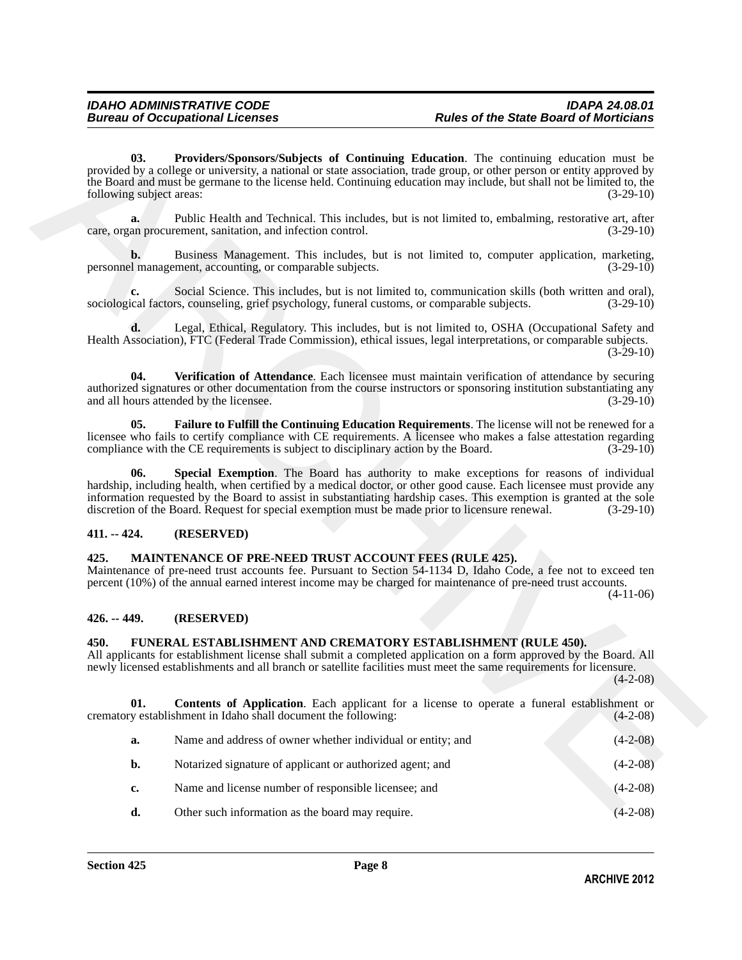# <span id="page-7-7"></span><span id="page-7-6"></span><span id="page-7-4"></span><span id="page-7-0"></span>**411. -- 424. (RESERVED)**

### <span id="page-7-10"></span><span id="page-7-1"></span>**425. MAINTENANCE OF PRE-NEED TRUST ACCOUNT FEES (RULE 425).**

# <span id="page-7-2"></span>**426. -- 449. (RESERVED)**

### <span id="page-7-9"></span><span id="page-7-8"></span><span id="page-7-3"></span>**450. FUNERAL ESTABLISHMENT AND CREMATORY ESTABLISHMENT (RULE 450).**

<span id="page-7-5"></span>

| 03.<br>following subject areas: | Providers/Sponsors/Subjects of Continuing Education. The continuing education must be<br>provided by a college or university, a national or state association, trade group, or other person or entity approved by<br>the Board and must be germane to the license held. Continuing education may include, but shall not be limited to, the                                                                                                | $(3-29-10)$ |
|---------------------------------|-------------------------------------------------------------------------------------------------------------------------------------------------------------------------------------------------------------------------------------------------------------------------------------------------------------------------------------------------------------------------------------------------------------------------------------------|-------------|
| a.                              | Public Health and Technical. This includes, but is not limited to, embalming, restorative art, after<br>care, organ procurement, sanitation, and infection control.                                                                                                                                                                                                                                                                       | $(3-29-10)$ |
| $\mathbf{b}$ .                  | Business Management. This includes, but is not limited to, computer application, marketing,<br>personnel management, accounting, or comparable subjects.                                                                                                                                                                                                                                                                                  | $(3-29-10)$ |
| c.                              | Social Science. This includes, but is not limited to, communication skills (both written and oral),<br>sociological factors, counseling, grief psychology, funeral customs, or comparable subjects.                                                                                                                                                                                                                                       | $(3-29-10)$ |
| d.                              | Legal, Ethical, Regulatory. This includes, but is not limited to, OSHA (Occupational Safety and<br>Health Association), FTC (Federal Trade Commission), ethical issues, legal interpretations, or comparable subjects.                                                                                                                                                                                                                    | $(3-29-10)$ |
| 04.                             | Verification of Attendance. Each licensee must maintain verification of attendance by securing<br>authorized signatures or other documentation from the course instructors or sponsoring institution substantiating any<br>and all hours attended by the licensee.                                                                                                                                                                        | $(3-29-10)$ |
| 05.                             | Failure to Fulfill the Continuing Education Requirements. The license will not be renewed for a<br>licensee who fails to certify compliance with CE requirements. A licensee who makes a false attestation regarding<br>compliance with the CE requirements is subject to disciplinary action by the Board.                                                                                                                               | $(3-29-10)$ |
| 06.                             | Special Exemption. The Board has authority to make exceptions for reasons of individual<br>hardship, including health, when certified by a medical doctor, or other good cause. Each licensee must provide any<br>information requested by the Board to assist in substantiating hardship cases. This exemption is granted at the sole<br>discretion of the Board. Request for special exemption must be made prior to licensure renewal. | $(3-29-10)$ |
| $411. - 424.$                   | (RESERVED)                                                                                                                                                                                                                                                                                                                                                                                                                                |             |
| 425.                            | MAINTENANCE OF PRE-NEED TRUST ACCOUNT FEES (RULE 425).<br>Maintenance of pre-need trust accounts fee. Pursuant to Section 54-1134 D, Idaho Code, a fee not to exceed ten<br>percent (10%) of the annual earned interest income may be charged for maintenance of pre-need trust accounts.                                                                                                                                                 | $(4-11-06)$ |
| $426. - 449.$                   | (RESERVED)                                                                                                                                                                                                                                                                                                                                                                                                                                |             |
| 450.                            | FUNERAL ESTABLISHMENT AND CREMATORY ESTABLISHMENT (RULE 450).<br>All applicants for establishment license shall submit a completed application on a form approved by the Board. All<br>newly licensed establishments and all branch or satellite facilities must meet the same requirements for licensure.                                                                                                                                | $(4-2-08)$  |
| 01.                             | <b>Contents of Application.</b> Each applicant for a license to operate a funeral establishment or<br>crematory establishment in Idaho shall document the following:                                                                                                                                                                                                                                                                      | $(4-2-08)$  |
| a.                              | Name and address of owner whether individual or entity; and                                                                                                                                                                                                                                                                                                                                                                               | $(4-2-08)$  |
| b.                              | Notarized signature of applicant or authorized agent; and                                                                                                                                                                                                                                                                                                                                                                                 | $(4-2-08)$  |
| c.                              | Name and license number of responsible licensee; and                                                                                                                                                                                                                                                                                                                                                                                      | $(4-2-08)$  |
| d.                              | Other such information as the board may require.                                                                                                                                                                                                                                                                                                                                                                                          | $(4-2-08)$  |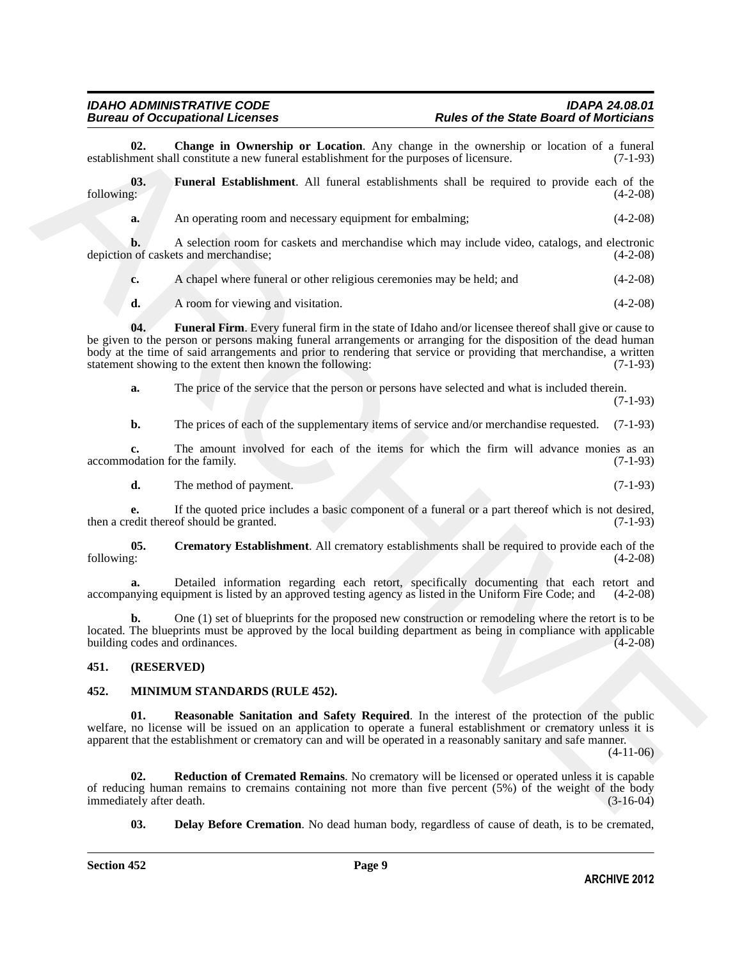<span id="page-8-2"></span>**02. Change in Ownership or Location**. Any change in the ownership or location of a funeral establishment shall constitute a new funeral establishment for the purposes of licensure.

**03.** Funeral Establishment. All funeral establishments shall be required to provide each of the following: (4-2-08) following: (4-2-08)

<span id="page-8-4"></span>

| а. | An operating room and necessary equipment for embalming; | $(4-2-08)$ |
|----|----------------------------------------------------------|------------|
|    |                                                          |            |

**b.** A selection room for caskets and merchandise which may include video, catalogs, and electronic depiction of caskets and merchandise; (4-2-08)

**c.** A chapel where funeral or other religious ceremonies may be held; and (4-2-08)

<span id="page-8-5"></span>**d.** A room for viewing and visitation. (4-2-08)

exploralize of Caroline in Contentralia contents of Lemma in Solvey in the convertibure of a funeral particular content in the symbol of the symbol of the symbol of the symbol of the symbol of the symbol of the symbol of **04. Funeral Firm**. Every funeral firm in the state of Idaho and/or licensee thereof shall give or cause to be given to the person or persons making funeral arrangements or arranging for the disposition of the dead human body at the time of said arrangements and prior to rendering that service or providing that merchandise, a written statement showing to the extent then known the following: (7-1-93)

**a.** The price of the service that the person or persons have selected and what is included therein. (7-1-93)

**b.** The prices of each of the supplementary items of service and/or merchandise requested. (7-1-93)

**c.** The amount involved for each of the items for which the firm will advance monies as an odation for the family. (7-1-93) accommodation for the family.

<span id="page-8-3"></span>**d.** The method of payment. (7-1-93)

**e.** If the quoted price includes a basic component of a funeral or a part thereof which is not desired, edit thereof should be granted. (7-1-93) then a credit thereof should be granted.

**05.** Crematory Establishment. All crematory establishments shall be required to provide each of the following: (4-2-08) following: (4-2-08)

Detailed information regarding each retort, specifically documenting that each retort and uipment is listed by an approved testing agency as listed in the Uniform Fire Code; and (4-2-08) accompanying equipment is listed by an approved testing agency as listed in the Uniform Fire Code; and

**b.** One (1) set of blueprints for the proposed new construction or remodeling where the retort is to be located. The blueprints must be approved by the local building department as being in compliance with applicable building codes and ordinances.

# <span id="page-8-0"></span>**451. (RESERVED)**

### <span id="page-8-8"></span><span id="page-8-6"></span><span id="page-8-1"></span>**452. MINIMUM STANDARDS (RULE 452).**

**01. Reasonable Sanitation and Safety Required**. In the interest of the protection of the public welfare, no license will be issued on an application to operate a funeral establishment or crematory unless it is apparent that the establishment or crematory can and will be operated in a reasonably sanitary and safe manner.

 $(4-11-06)$ 

**02. Reduction of Cremated Remains**. No crematory will be licensed or operated unless it is capable of reducing human remains to cremains containing not more than five percent  $(5%)$  of the weight of the body immediately after death.  $(3-16-04)$ immediately after death.

<span id="page-8-9"></span><span id="page-8-7"></span>**03. Delay Before Cremation**. No dead human body, regardless of cause of death, is to be cremated,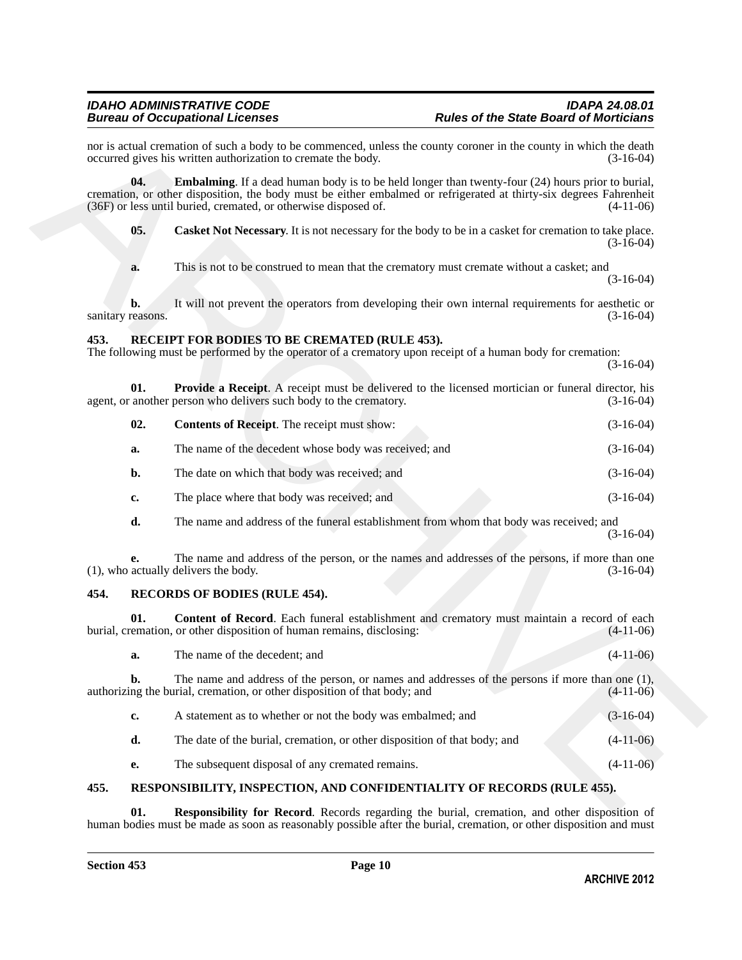# <span id="page-9-5"></span><span id="page-9-3"></span><span id="page-9-0"></span>**453. RECEIPT FOR BODIES TO BE CREMATED (RULE 453).**

<span id="page-9-7"></span><span id="page-9-6"></span>

| 02. | <b>Contents of Receipt.</b> The receipt must show:    | $(3-16-04)$ |
|-----|-------------------------------------------------------|-------------|
| a.  | The name of the decedent whose body was received; and | $(3-16-04)$ |
| b.  | The date on which that body was received; and         | $(3-16-04)$ |
| c.  | The place where that body was received; and           | $(3-16-04)$ |

# <span id="page-9-9"></span><span id="page-9-8"></span><span id="page-9-1"></span>**454. RECORDS OF BODIES (RULE 454).**

<span id="page-9-4"></span>

|      | 04.                     | <b>Embalming.</b> If a dead human body is to be held longer than twenty-four $(24)$ hours prior to burial,                                                                            |             |
|------|-------------------------|---------------------------------------------------------------------------------------------------------------------------------------------------------------------------------------|-------------|
|      |                         | cremation, or other disposition, the body must be either embalmed or refrigerated at thirty-six degrees Fahrenheit<br>(36F) or less until buried, cremated, or otherwise disposed of. | $(4-11-06)$ |
|      | 05.                     | Casket Not Necessary. It is not necessary for the body to be in a casket for cremation to take place.                                                                                 | $(3-16-04)$ |
|      | a.                      | This is not to be construed to mean that the crematory must cremate without a casket; and                                                                                             | $(3-16-04)$ |
|      | b.<br>sanitary reasons. | It will not prevent the operators from developing their own internal requirements for aesthetic or                                                                                    | $(3-16-04)$ |
| 453. |                         | RECEIPT FOR BODIES TO BE CREMATED (RULE 453).<br>The following must be performed by the operator of a crematory upon receipt of a human body for cremation:                           | $(3-16-04)$ |
|      | 01.                     | <b>Provide a Receipt</b> . A receipt must be delivered to the licensed mortician or funeral director, his<br>agent, or another person who delivers such body to the crematory.        | $(3-16-04)$ |
|      | 02.                     | <b>Contents of Receipt.</b> The receipt must show:                                                                                                                                    | $(3-16-04)$ |
|      | a.                      | The name of the decedent whose body was received; and                                                                                                                                 | $(3-16-04)$ |
|      | $b$ .                   | The date on which that body was received; and                                                                                                                                         | $(3-16-04)$ |
|      | c.                      | The place where that body was received; and                                                                                                                                           | $(3-16-04)$ |
|      | d.                      | The name and address of the funeral establishment from whom that body was received; and                                                                                               | $(3-16-04)$ |
|      | е.                      | The name and address of the person, or the names and addresses of the persons, if more than one<br>(1), who actually delivers the body.                                               | $(3-16-04)$ |
| 454. |                         | <b>RECORDS OF BODIES (RULE 454).</b>                                                                                                                                                  |             |
|      | 01.                     | Content of Record. Each funeral establishment and crematory must maintain a record of each<br>burial, cremation, or other disposition of human remains, disclosing:                   | $(4-11-06)$ |
|      | a.                      | The name of the decedent; and                                                                                                                                                         | $(4-11-06)$ |
|      | b.                      | The name and address of the person, or names and addresses of the persons if more than one (1),<br>authorizing the burial, cremation, or other disposition of that body; and          | $(4-11-06)$ |
|      | $c_{\bullet}$           | A statement as to whether or not the body was embalmed; and                                                                                                                           | $(3-16-04)$ |
|      | d.                      | The date of the burial, cremation, or other disposition of that body; and                                                                                                             | $(4-11-06)$ |
|      |                         |                                                                                                                                                                                       |             |

# <span id="page-9-10"></span><span id="page-9-2"></span>**455. RESPONSIBILITY, INSPECTION, AND CONFIDENTIALITY OF RECORDS (RULE 455).**

<span id="page-9-11"></span>**Responsibility for Record.** Records regarding the burial, cremation, and other disposition of human bodies must be made as soon as reasonably possible after the burial, cremation, or other disposition and must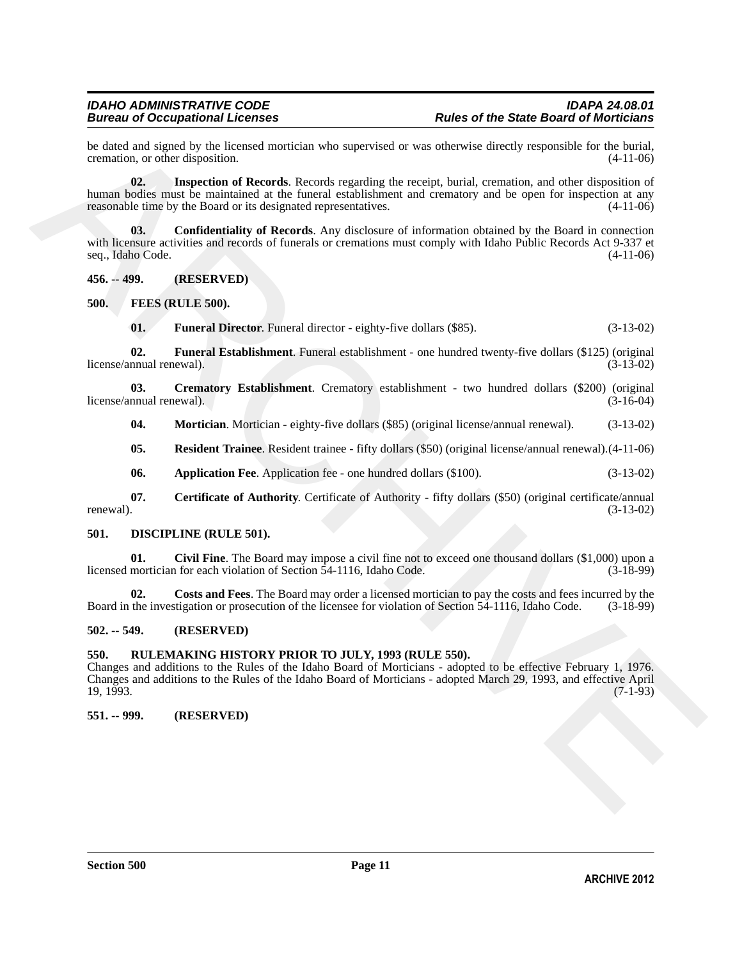be dated and signed by the licensed mortician who supervised or was otherwise directly responsible for the burial, cremation, or other disposition. (4-11-06) cremation, or other disposition.

<span id="page-10-18"></span>**02. Inspection of Records**. Records regarding the receipt, burial, cremation, and other disposition of human bodies must be maintained at the funeral establishment and crematory and be open for inspection at any reasonable time by the Board or its designated representatives. (4-11-06)

<span id="page-10-17"></span>**03. Confidentiality of Records**. Any disclosure of information obtained by the Board in connection with licensure activities and records of funerals or cremations must comply with Idaho Public Records Act 9-337 et seq., Idaho Code. (4-11-06)

<span id="page-10-0"></span>**456. -- 499. (RESERVED)**

<span id="page-10-1"></span>**500. FEES (RULE 500).**

<span id="page-10-14"></span><span id="page-10-13"></span><span id="page-10-9"></span>**01. Funeral Director**. Funeral director - eighty-five dollars (\$85). (3-13-02)

**02. Funeral Establishment**. Funeral establishment - one hundred twenty-five dollars (\$125) (original license/annual renewal). (3-13-02)

**03.** Crematory Establishment. Crematory establishment - two hundred dollars (\$200) (original nnual renewal). (3-16-04) license/annual renewal).

<span id="page-10-15"></span><span id="page-10-12"></span>**04. Mortician**. Mortician - eighty-five dollars (\$85) (original license/annual renewal). (3-13-02)

<span id="page-10-16"></span><span id="page-10-10"></span>**05. Resident Trainee**. Resident trainee - fifty dollars (\$50) (original license/annual renewal).(4-11-06)

<span id="page-10-11"></span>**06. Application Fee**. Application fee - one hundred dollars (\$100). (3-13-02)

**07. Certificate of Authority**. Certificate of Authority - fifty dollars (\$50) (original certificate/annual renewal).  $(3-13-02)$ 

### <span id="page-10-6"></span><span id="page-10-2"></span>**501. DISCIPLINE (RULE 501).**

<span id="page-10-7"></span>**01.** Civil Fine. The Board may impose a civil fine not to exceed one thousand dollars (\$1,000) upon a mortician for each violation of Section 54-1116, Idaho Code. (3-18-99) licensed mortician for each violation of Section 54-1116, Idaho Code.

<span id="page-10-8"></span>**02. Costs and Fees**. The Board may order a licensed mortician to pay the costs and fees incurred by the Board in the investigation or prosecution of the licensee for violation of Section 54-1116, Idaho Code. (3-18-99)

# <span id="page-10-3"></span>**502. -- 549. (RESERVED)**

### <span id="page-10-4"></span>**550. RULEMAKING HISTORY PRIOR TO JULY, 1993 (RULE 550).**

he data dual especies dual especies dual especies dual especies dual especies dual especies dual especies dual especies dual especies dual especies dual especies dual especies dual especies dual especies dual especies dua Changes and additions to the Rules of the Idaho Board of Morticians - adopted to be effective February 1, 1976. Changes and additions to the Rules of the Idaho Board of Morticians - adopted March 29, 1993, and effective April 19, 1993. (7-1-93)

### <span id="page-10-5"></span>**551. -- 999. (RESERVED)**